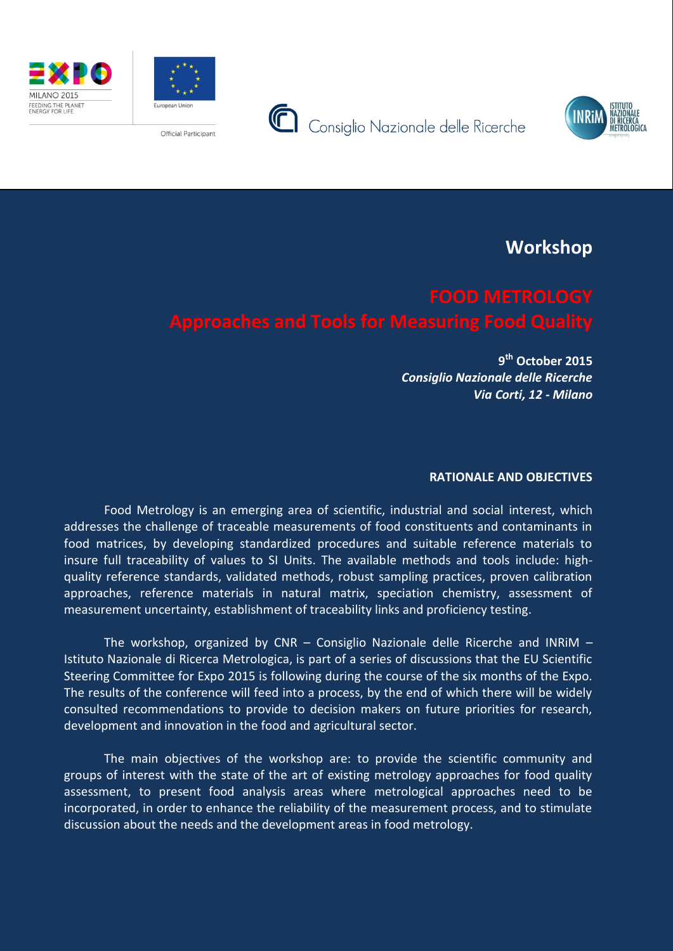







FEEDING THE PLANET<br>ENERGY FOR LIFE

**Workshop**

**9 th October 2015** *Consiglio Nazionale delle Ricerche Via Corti, 12 - Milano*

# **RATIONALE AND OBJECTIVES**

Food Metrology is an emerging area of scientific, industrial and social interest, which addresses the challenge of traceable measurements of food constituents and contaminants in food matrices, by developing standardized procedures and suitable reference materials to insure full traceability of values to SI Units. The available methods and tools include: highquality reference standards, validated methods, robust sampling practices, proven calibration approaches, reference materials in natural matrix, speciation chemistry, assessment of measurement uncertainty, establishment of traceability links and proficiency testing.

The workshop, organized by CNR - Consiglio Nazionale delle Ricerche and INRIM -Istituto Nazionale di Ricerca Metrologica, is part of a series of discussions that the EU Scientific Steering Committee for Expo 2015 is following during the course of the six months of the Expo. The results of the conference will feed into a process, by the end of which there will be widely consulted recommendations to provide to decision makers on future priorities for research, development and innovation in the food and agricultural sector.

The main objectives of the workshop are: to provide the scientific community and groups of interest with the state of the art of existing metrology approaches for food quality assessment, to present food analysis areas where metrological approaches need to be incorporated, in order to enhance the reliability of the measurement process, and to stimulate discussion about the needs and the development areas in food metrology.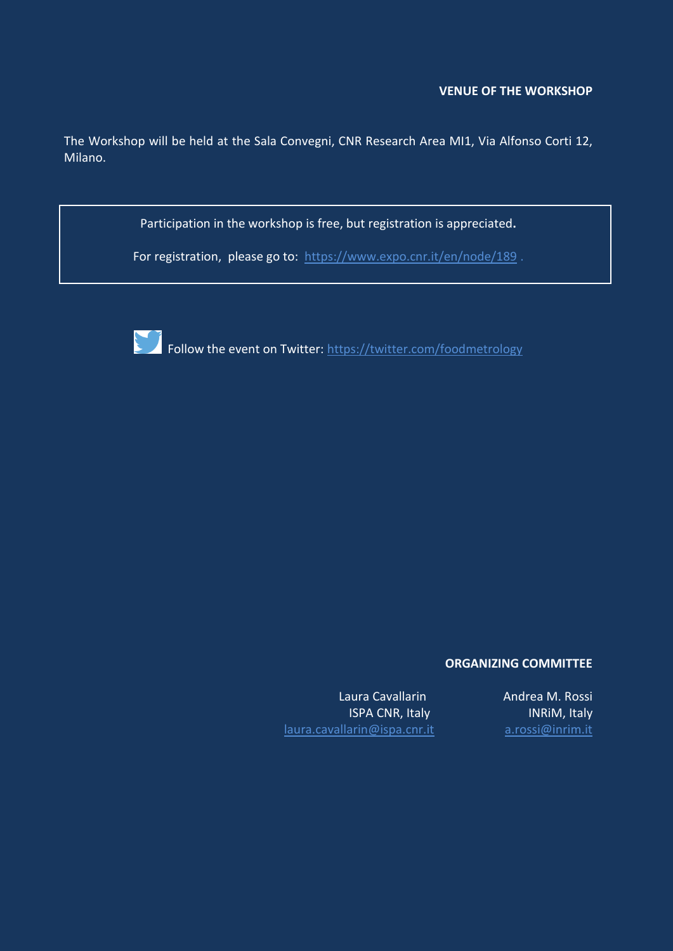## **VENUE OF THE WORKSHOP**

The Workshop will be held at the Sala Convegni, CNR Research Area MI1, Via Alfonso Corti 12, Milano.

Participation in the workshop is free, but registration is appreciated**.**

For registration, please go to: <https://www.expo.cnr.it/en/node/189>.



Follow the event on Twitter: https://twitter.com/foodmetrology

## **ORGANIZING COMMITTEE**

Laura Cavallarin **Andrea M. Rossi** [laura.cavallarin@ispa.](mailto:laura.cavallarin@ispa)cnr.it [a.rossi@inrim.it](mailto:a.rossi@inrim.it)

ISPA CNR, Italy **INRIM, Italy**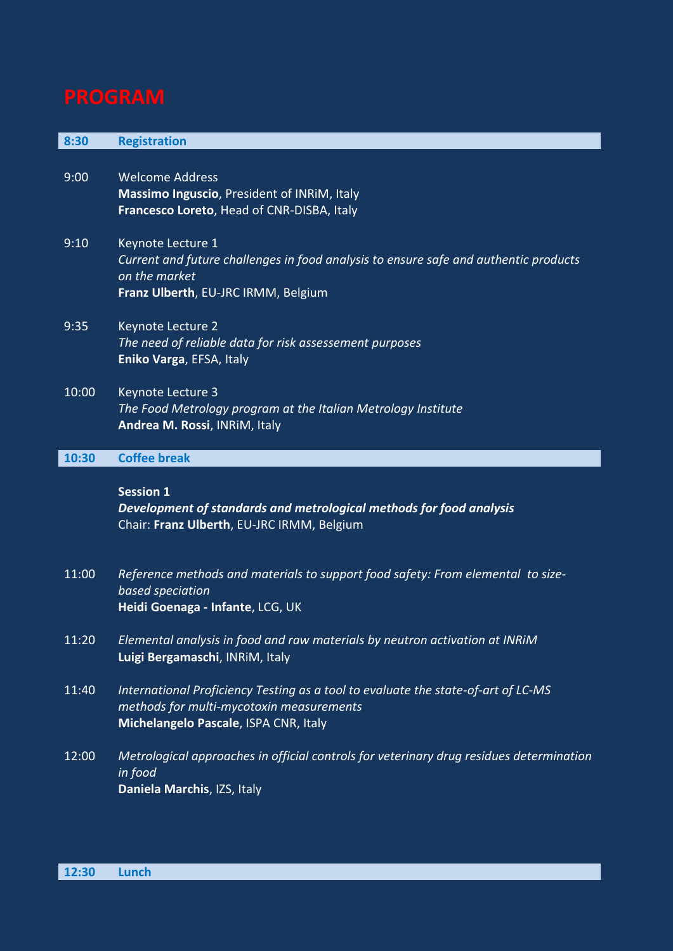| 8:30  | <b>Registration</b>                                                                                                                                                    |
|-------|------------------------------------------------------------------------------------------------------------------------------------------------------------------------|
| 9:00  | <b>Welcome Address</b><br>Massimo Inguscio, President of INRIM, Italy<br>Francesco Loreto, Head of CNR-DISBA, Italy                                                    |
| 9:10  | Keynote Lecture 1<br>Current and future challenges in food analysis to ensure safe and authentic products<br>on the market<br>Franz Ulberth, EU-JRC IRMM, Belgium      |
| 9:35  | Keynote Lecture 2<br>The need of reliable data for risk assessement purposes<br>Eniko Varga, EFSA, Italy                                                               |
| 10:00 | Keynote Lecture 3<br>The Food Metrology program at the Italian Metrology Institute<br>Andrea M. Rossi, INRIM, Italy                                                    |
| 10:30 | <b>Coffee break</b>                                                                                                                                                    |
|       | <b>Session 1</b><br>Development of standards and metrological methods for food analysis<br>Chair: Franz Ulberth, EU-JRC IRMM, Belgium                                  |
| 11:00 | Reference methods and materials to support food safety: From elemental to size-<br>based speciation<br>Heidi Goenaga - Infante, LCG, UK                                |
| 11:20 | Elemental analysis in food and raw materials by neutron activation at INRIM<br>Luigi Bergamaschi, INRIM, Italy                                                         |
| 11:40 | International Proficiency Testing as a tool to evaluate the state-of-art of LC-MS<br>methods for multi-mycotoxin measurements<br>Michelangelo Pascale, ISPA CNR, Italy |
| 12:00 | Metrological approaches in official controls for veterinary drug residues determination<br>in food<br>Daniela Marchis, IZS, Italy                                      |